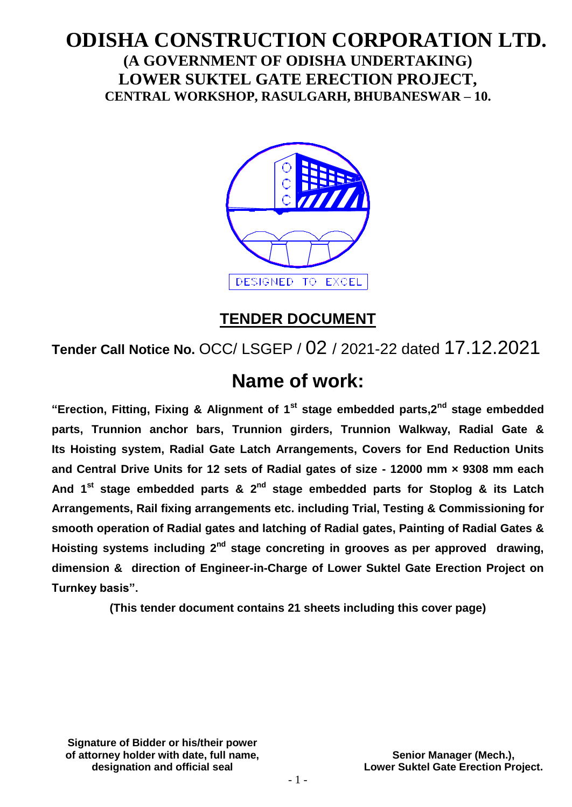# **ODISHA CONSTRUCTION CORPORATION LTD. (A GOVERNMENT OF ODISHA UNDERTAKING) LOWER SUKTEL GATE ERECTION PROJECT, CENTRAL WORKSHOP, RASULGARH, BHUBANESWAR – 10.**



# **TENDER DOCUMENT**

**Tender Call Notice No.** OCC/ LSGEP / 02 / 2021-22 dated 17.12.2021

# **Name of work:**

**"Erection, Fitting, Fixing & Alignment of 1st stage embedded parts,2nd stage embedded parts, Trunnion anchor bars, Trunnion girders, Trunnion Walkway, Radial Gate & Its Hoisting system, Radial Gate Latch Arrangements, Covers for End Reduction Units and Central Drive Units for 12 sets of Radial gates of size - 12000 mm × 9308 mm each**  And 1<sup>st</sup> stage embedded parts & 2<sup>nd</sup> stage embedded parts for Stoplog & its Latch **Arrangements, Rail fixing arrangements etc. including Trial, Testing & Commissioning for smooth operation of Radial gates and latching of Radial gates, Painting of Radial Gates &**  Hoisting systems including 2<sup>nd</sup> stage concreting in grooves as per approved drawing, **dimension & direction of Engineer-in-Charge of Lower Suktel Gate Erection Project on Turnkey basis".**

**(This tender document contains 21 sheets including this cover page)**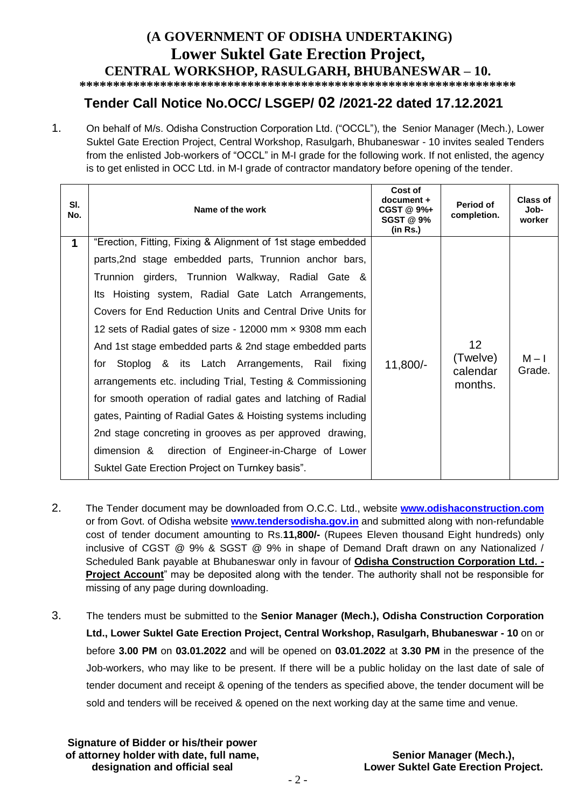# **(A GOVERNMENT OF ODISHA UNDERTAKING) Lower Suktel Gate Erection Project, CENTRAL WORKSHOP, RASULGARH, BHUBANESWAR – 10.**

**\*\*\*\*\*\*\*\*\*\*\*\*\*\*\*\*\*\*\*\*\*\*\*\*\*\*\*\*\*\*\*\*\*\*\*\*\*\*\*\*\*\*\*\*\*\*\*\*\*\*\*\*\*\*\*\*\*\*\*\*\*\*\*\*\***

# **Tender Call Notice No.OCC/ LSGEP/ 02 /2021-22 dated 17.12.2021**

1. On behalf of M/s. Odisha Construction Corporation Ltd. ("OCCL"), the Senior Manager (Mech.), Lower Suktel Gate Erection Project, Central Workshop, Rasulgarh, Bhubaneswar - 10 invites sealed Tenders from the enlisted Job-workers of "OCCL" in M-I grade for the following work. If not enlisted, the agency is to get enlisted in OCC Ltd. in M-I grade of contractor mandatory before opening of the tender.

| SI.<br>No.  | Name of the work                                             | Cost of<br>document +<br>$CGST@9%+$<br><b>SGST @ 9%</b><br>(in Rs.) | Period of<br>completion. | Class of<br>Job-<br>worker |
|-------------|--------------------------------------------------------------|---------------------------------------------------------------------|--------------------------|----------------------------|
| $\mathbf 1$ | "Erection, Fitting, Fixing & Alignment of 1st stage embedded |                                                                     |                          |                            |
|             | parts, 2nd stage embedded parts, Trunnion anchor bars,       |                                                                     |                          |                            |
|             | Trunnion girders, Trunnion Walkway, Radial Gate &            |                                                                     |                          |                            |
|             | Its Hoisting system, Radial Gate Latch Arrangements,         |                                                                     |                          |                            |
|             | Covers for End Reduction Units and Central Drive Units for   |                                                                     |                          |                            |
|             | 12 sets of Radial gates of size - 12000 mm x 9308 mm each    |                                                                     |                          |                            |
|             | And 1st stage embedded parts & 2nd stage embedded parts      |                                                                     | 12 <sup>2</sup>          |                            |
|             | Stoplog & its Latch Arrangements, Rail fixing<br>for         | 11,800/-                                                            | (Twelve)<br>calendar     | $M - I$<br>Grade.          |
|             | arrangements etc. including Trial, Testing & Commissioning   |                                                                     | months.                  |                            |
|             | for smooth operation of radial gates and latching of Radial  |                                                                     |                          |                            |
|             | gates, Painting of Radial Gates & Hoisting systems including |                                                                     |                          |                            |
|             | 2nd stage concreting in grooves as per approved drawing,     |                                                                     |                          |                            |
|             | dimension & direction of Engineer-in-Charge of Lower         |                                                                     |                          |                            |
|             | Suktel Gate Erection Project on Turnkey basis".              |                                                                     |                          |                            |

- 2. The Tender document may be downloaded from O.C.C. Ltd., website **[www.odishaconstruction.com](http://www.odishaconstruction.com/)** or from Govt. of Odisha website **www.tendersodisha.gov.in** and submitted along with non-refundable cost of tender document amounting to Rs.**11,800/-** (Rupees Eleven thousand Eight hundreds) only inclusive of CGST @ 9% & SGST @ 9% in shape of Demand Draft drawn on any Nationalized / Scheduled Bank payable at Bhubaneswar only in favour of **Odisha Construction Corporation Ltd. - Project Account**" may be deposited along with the tender. The authority shall not be responsible for missing of any page during downloading.
- 3. The tenders must be submitted to the **Senior Manager (Mech.), Odisha Construction Corporation Ltd., Lower Suktel Gate Erection Project, Central Workshop, Rasulgarh, Bhubaneswar - 10** on or before **3.00 PM** on **03.01.2022** and will be opened on **03.01.2022** at **3.30 PM** in the presence of the Job-workers, who may like to be present. If there will be a public holiday on the last date of sale of tender document and receipt & opening of the tenders as specified above, the tender document will be sold and tenders will be received & opened on the next working day at the same time and venue.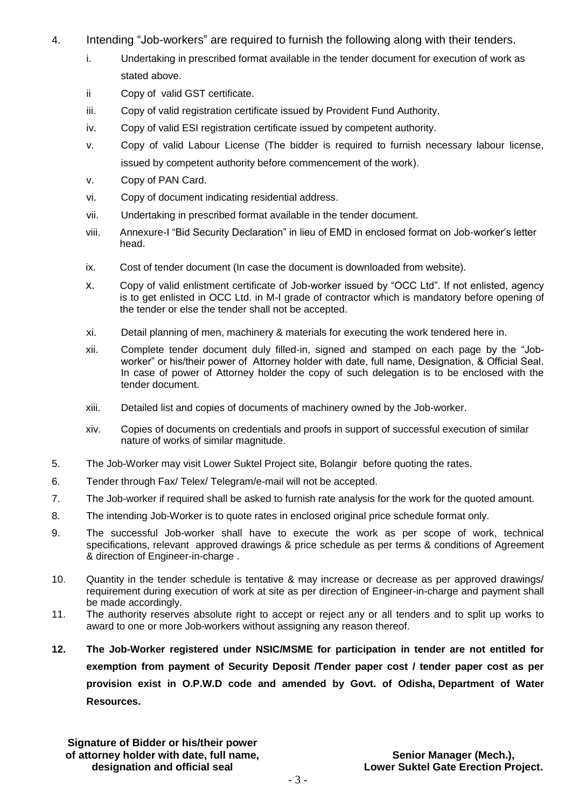- 4. Intending "Job-workers" are required to furnish the following along with their tenders.
	- i. Undertaking in prescribed format available in the tender document for execution of work as stated above.
	- ii Copy of valid GST certificate.
	- iii. Copy of valid registration certificate issued by Provident Fund Authority.
	- iv. Copy of valid ESI registration certificate issued by competent authority.
	- v. Copy of valid Labour License (The bidder is required to furnish necessary labour license, issued by competent authority before commencement of the work).
	- v. Copy of PAN Card.
	- vi. Copy of document indicating residential address.
	- vii. Undertaking in prescribed format available in the tender document.
	- viii. Annexure-I "Bid Security Declaration" in lieu of EMD in enclosed format on Job-worker's letter head.
	- ix. Cost of tender document (In case the document is downloaded from website).
	- x. Copy of valid enlistment certificate of Job-worker issued by "OCC Ltd". If not enlisted, agency is to get enlisted in OCC Ltd. in M-I grade of contractor which is mandatory before opening of the tender or else the tender shall not be accepted.
	- xi. Detail planning of men, machinery & materials for executing the work tendered here in.
	- xii. Complete tender document duly filled-in, signed and stamped on each page by the "Jobworker" or his/their power of Attorney holder with date, full name, Designation, & Official Seal. In case of power of Attorney holder the copy of such delegation is to be enclosed with the tender document.
	- xiii. Detailed list and copies of documents of machinery owned by the Job-worker.
	- xiv. Copies of documents on credentials and proofs in support of successful execution of similar nature of works of similar magnitude.
- 5. The Job-Worker may visit Lower Suktel Project site, Bolangir before quoting the rates.
- 6. Tender through Fax/ Telex/ Telegram/e-mail will not be accepted.
- 7. The Job-worker if required shall be asked to furnish rate analysis for the work for the quoted amount.
- 8. The intending Job-Worker is to quote rates in enclosed original price schedule format only.
- 9. The successful Job-worker shall have to execute the work as per scope of work, technical specifications, relevant approved drawings & price schedule as per terms & conditions of Agreement & direction of Engineer-in-charge .
- 10. Quantity in the tender schedule is tentative & may increase or decrease as per approved drawings/ requirement during execution of work at site as per direction of Engineer-in-charge and payment shall be made accordingly.
- 11. The authority reserves absolute right to accept or reject any or all tenders and to split up works to award to one or more Job-workers without assigning any reason thereof.
- **12. The Job-Worker registered under NSIC/MSME for participation in tender are not entitled for exemption from payment of Security Deposit /Tender paper cost / tender paper cost as per provision exist in O.P.W.D code and amended by Govt. of Odisha, Department of Water Resources.**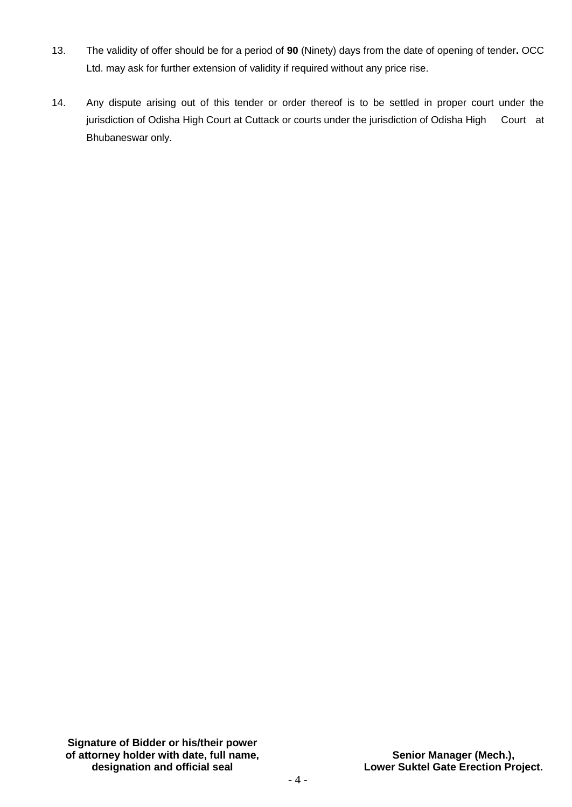- 13. The validity of offer should be for a period of **90** (Ninety) days from the date of opening of tender**.** OCC Ltd. may ask for further extension of validity if required without any price rise.
- 14. Any dispute arising out of this tender or order thereof is to be settled in proper court under the jurisdiction of Odisha High Court at Cuttack or courts under the jurisdiction of Odisha High Court at Bhubaneswar only.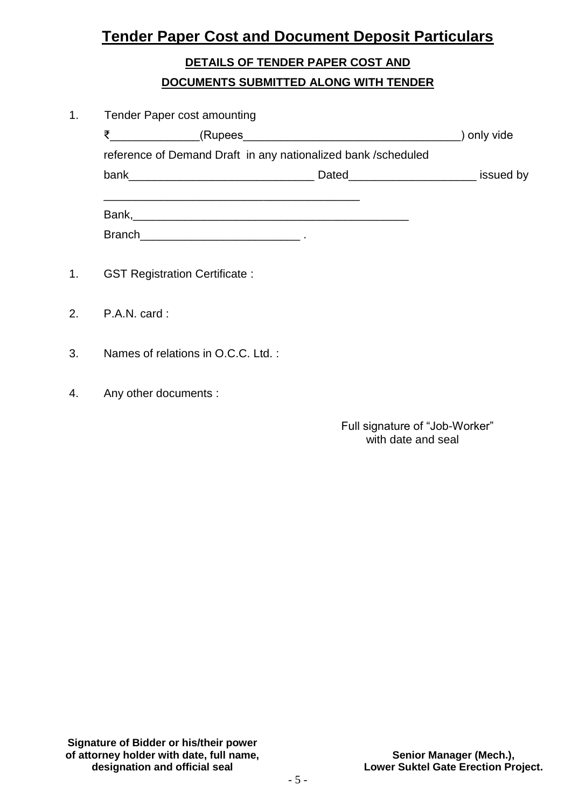# **Tender Paper Cost and Document Deposit Particulars**

# **DETAILS OF TENDER PAPER COST AND DOCUMENTS SUBMITTED ALONG WITH TENDER**

| 1 <sub>1</sub> | <b>Tender Paper cost amounting</b>                            |  |             |
|----------------|---------------------------------------------------------------|--|-------------|
|                | ₹<br><b>Example 2018</b> (Rupees 2018) <b>CONTINUES</b>       |  | ) only vide |
|                | reference of Demand Draft in any nationalized bank /scheduled |  |             |
|                |                                                               |  |             |
|                |                                                               |  |             |
|                |                                                               |  |             |
| 1 <sub>1</sub> | <b>GST Registration Certificate:</b>                          |  |             |
|                | 2. $P.A.N. card:$                                             |  |             |
| 3.             | Names of relations in O.C.C. Ltd.:                            |  |             |

4. Any other documents :

 Full signature of "Job-Worker" with date and seal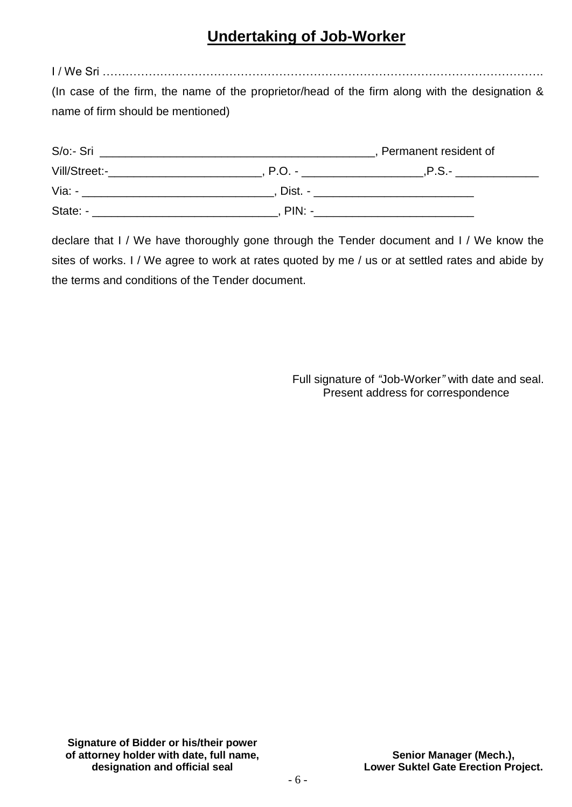# **Undertaking of Job-Worker**

I / We Sri ……………………………………………………………………………………………………. (In case of the firm, the name of the proprietor/head of the firm along with the designation & name of firm should be mentioned)

| S/o:- Sri     |          | Permanent resident of |
|---------------|----------|-----------------------|
| Vill/Street:- | $P.O. -$ | $.P.S. -$             |
| Via: -        | Dist. -  |                       |
| State: -      | $PIN: -$ |                       |

declare that I / We have thoroughly gone through the Tender document and I / We know the sites of works. I / We agree to work at rates quoted by me / us or at settled rates and abide by the terms and conditions of the Tender document.

> Full signature of *"*Job-Worker*"* with date and seal. Present address for correspondence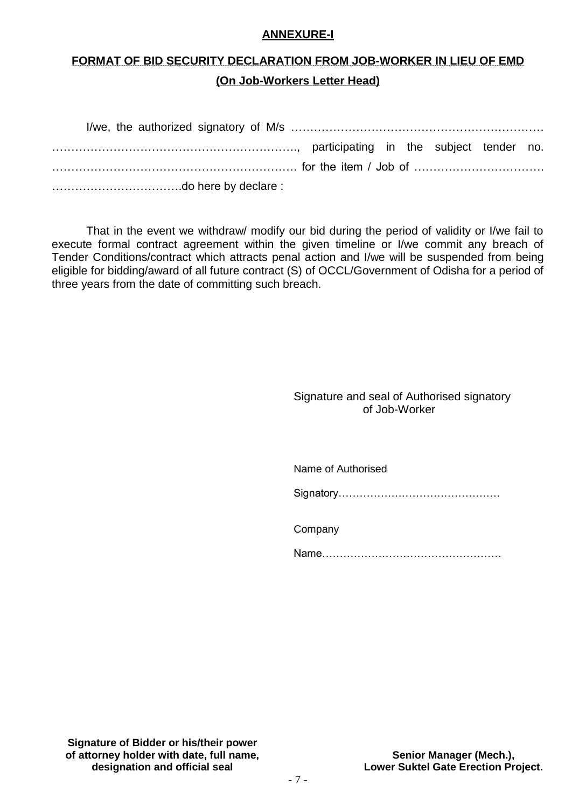#### **ANNEXURE-I**

# **FORMAT OF BID SECURITY DECLARATION FROM JOB-WORKER IN LIEU OF EMD (On Job-Workers Letter Head)**

| manumination, participating in the subject tender no. |  |  |  |
|-------------------------------------------------------|--|--|--|
|                                                       |  |  |  |
|                                                       |  |  |  |

That in the event we withdraw/ modify our bid during the period of validity or I/we fail to execute formal contract agreement within the given timeline or I/we commit any breach of Tender Conditions/contract which attracts penal action and I/we will be suspended from being eligible for bidding/award of all future contract (S) of OCCL/Government of Odisha for a period of three years from the date of committing such breach.

#### Signature and seal of Authorised signatory of Job-Worker

Name of Authorised

Signatory……………………………………….

Company

Name……………………………………………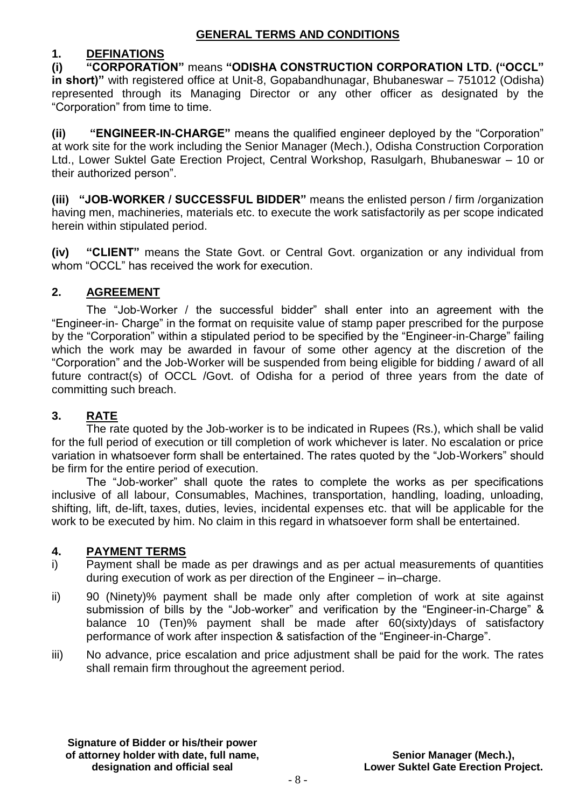# **1. DEFINATIONS**

**(i) "CORPORATION"** means **"ODISHA CONSTRUCTION CORPORATION LTD. ("OCCL" in short)"** with registered office at Unit-8, Gopabandhunagar, Bhubaneswar – 751012 (Odisha) represented through its Managing Director or any other officer as designated by the "Corporation" from time to time.

**(ii) "ENGINEER-IN-CHARGE"** means the qualified engineer deployed by the "Corporation" at work site for the work including the Senior Manager (Mech.), Odisha Construction Corporation Ltd., Lower Suktel Gate Erection Project, Central Workshop, Rasulgarh, Bhubaneswar – 10 or their authorized person".

**(iii) "JOB-WORKER / SUCCESSFUL BIDDER"** means the enlisted person / firm /organization having men, machineries, materials etc. to execute the work satisfactorily as per scope indicated herein within stipulated period.

**(iv) "CLIENT"** means the State Govt. or Central Govt. organization or any individual from whom "OCCL" has received the work for execution.

#### **2. AGREEMENT**

 The "Job-Worker / the successful bidder" shall enter into an agreement with the "Engineer-in- Charge" in the format on requisite value of stamp paper prescribed for the purpose by the "Corporation" within a stipulated period to be specified by the "Engineer-in-Charge" failing which the work may be awarded in favour of some other agency at the discretion of the "Corporation" and the Job-Worker will be suspended from being eligible for bidding / award of all future contract(s) of OCCL /Govt. of Odisha for a period of three years from the date of committing such breach.

# **3. RATE**

The rate quoted by the Job-worker is to be indicated in Rupees (Rs.), which shall be valid for the full period of execution or till completion of work whichever is later. No escalation or price variation in whatsoever form shall be entertained. The rates quoted by the "Job-Workers" should be firm for the entire period of execution.

The "Job-worker" shall quote the rates to complete the works as per specifications inclusive of all labour, Consumables, Machines, transportation, handling, loading, unloading, shifting, lift, de-lift, taxes, duties, levies, incidental expenses etc. that will be applicable for the work to be executed by him. No claim in this regard in whatsoever form shall be entertained.

#### **4. PAYMENT TERMS**

- i) Payment shall be made as per drawings and as per actual measurements of quantities during execution of work as per direction of the Engineer – in–charge.
- ii) 90 (Ninety)% payment shall be made only after completion of work at site against submission of bills by the "Job-worker" and verification by the "Engineer-in-Charge" & balance 10 (Ten)% payment shall be made after 60(sixty)days of satisfactory performance of work after inspection & satisfaction of the "Engineer-in-Charge".
- iii) No advance, price escalation and price adjustment shall be paid for the work. The rates shall remain firm throughout the agreement period.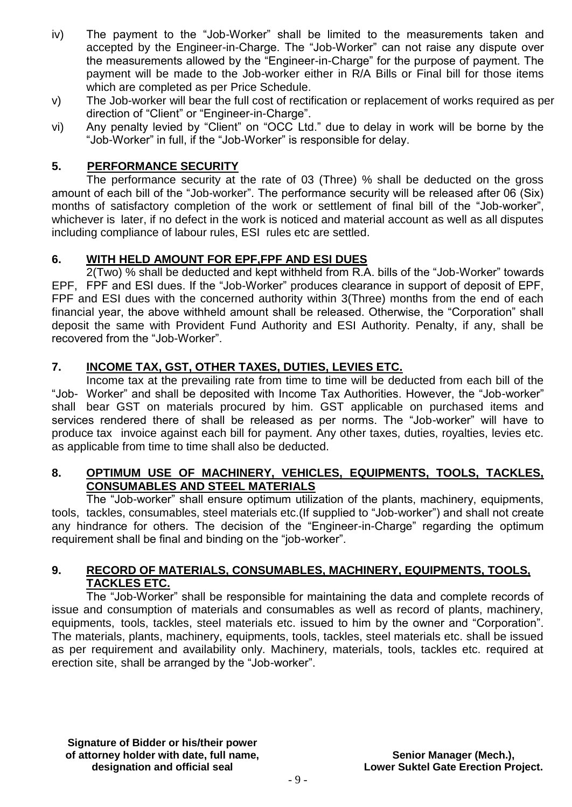- iv) The payment to the "Job-Worker" shall be limited to the measurements taken and accepted by the Engineer-in-Charge. The "Job-Worker" can not raise any dispute over the measurements allowed by the "Engineer-in-Charge" for the purpose of payment. The payment will be made to the Job-worker either in R/A Bills or Final bill for those items which are completed as per Price Schedule.
- v) The Job-worker will bear the full cost of rectification or replacement of works required as per direction of "Client" or "Engineer-in-Charge".
- vi) Any penalty levied by "Client" on "OCC Ltd." due to delay in work will be borne by the "Job-Worker" in full, if the "Job-Worker" is responsible for delay.

#### **5. PERFORMANCE SECURITY**

The performance security at the rate of 03 (Three) % shall be deducted on the gross amount of each bill of the "Job-worker". The performance security will be released after 06 (Six) months of satisfactory completion of the work or settlement of final bill of the "Job-worker", whichever is later, if no defect in the work is noticed and material account as well as all disputes including compliance of labour rules, ESI rules etc are settled.

### **6. WITH HELD AMOUNT FOR EPF,FPF AND ESI DUES**

2(Two) % shall be deducted and kept withheld from R.A. bills of the "Job-Worker" towards EPF, FPF and ESI dues. If the "Job-Worker" produces clearance in support of deposit of EPF, FPF and ESI dues with the concerned authority within 3(Three) months from the end of each financial year, the above withheld amount shall be released. Otherwise, the "Corporation" shall deposit the same with Provident Fund Authority and ESI Authority. Penalty, if any, shall be recovered from the "Job-Worker".

# **7. INCOME TAX, GST, OTHER TAXES, DUTIES, LEVIES ETC.**

Income tax at the prevailing rate from time to time will be deducted from each bill of the "Job- Worker" and shall be deposited with Income Tax Authorities. However, the "Job-worker" shall bear GST on materials procured by him. GST applicable on purchased items and services rendered there of shall be released as per norms. The "Job-worker" will have to produce tax invoice against each bill for payment. Any other taxes, duties, royalties, levies etc. as applicable from time to time shall also be deducted.

#### **8. OPTIMUM USE OF MACHINERY, VEHICLES, EQUIPMENTS, TOOLS, TACKLES, CONSUMABLES AND STEEL MATERIALS**

The "Job-worker" shall ensure optimum utilization of the plants, machinery, equipments, tools, tackles, consumables, steel materials etc.(If supplied to "Job-worker") and shall not create any hindrance for others. The decision of the "Engineer-in-Charge" regarding the optimum requirement shall be final and binding on the "job-worker".

#### **9. RECORD OF MATERIALS, CONSUMABLES, MACHINERY, EQUIPMENTS, TOOLS, TACKLES ETC.**

The "Job-Worker" shall be responsible for maintaining the data and complete records of issue and consumption of materials and consumables as well as record of plants, machinery, equipments, tools, tackles, steel materials etc. issued to him by the owner and "Corporation". The materials, plants, machinery, equipments, tools, tackles, steel materials etc. shall be issued as per requirement and availability only. Machinery, materials, tools, tackles etc. required at erection site, shall be arranged by the "Job-worker".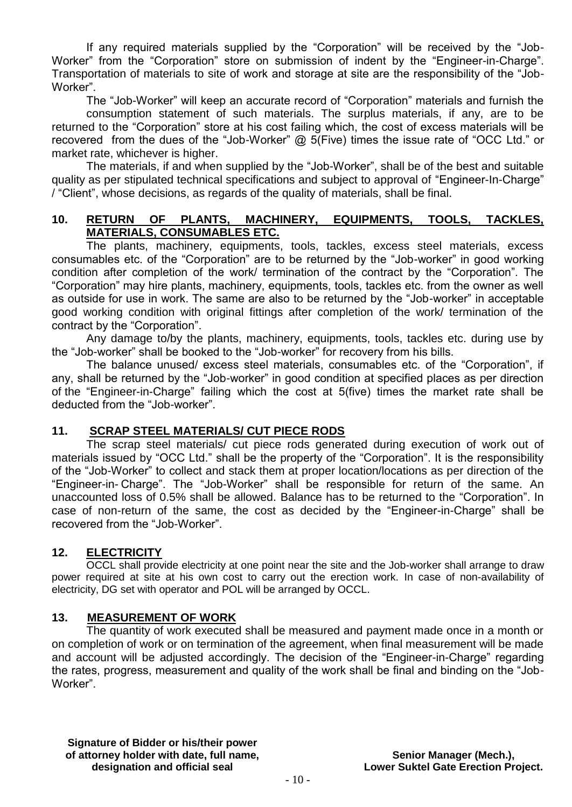If any required materials supplied by the "Corporation" will be received by the "Job-Worker" from the "Corporation" store on submission of indent by the "Engineer-in-Charge". Transportation of materials to site of work and storage at site are the responsibility of the "Job-Worker".

The "Job-Worker" will keep an accurate record of "Corporation" materials and furnish the consumption statement of such materials. The surplus materials, if any, are to be returned to the "Corporation" store at his cost failing which, the cost of excess materials will be recovered from the dues of the "Job-Worker" @ 5(Five) times the issue rate of "OCC Ltd." or market rate, whichever is higher.

The materials, if and when supplied by the "Job-Worker", shall be of the best and suitable quality as per stipulated technical specifications and subject to approval of "Engineer-In-Charge" / "Client", whose decisions, as regards of the quality of materials, shall be final.

#### **10. RETURN OF PLANTS, MACHINERY, EQUIPMENTS, TOOLS, TACKLES, MATERIALS, CONSUMABLES ETC.**

The plants, machinery, equipments, tools, tackles, excess steel materials, excess consumables etc. of the "Corporation" are to be returned by the "Job-worker" in good working condition after completion of the work/ termination of the contract by the "Corporation". The "Corporation" may hire plants, machinery, equipments, tools, tackles etc. from the owner as well as outside for use in work. The same are also to be returned by the "Job-worker" in acceptable good working condition with original fittings after completion of the work/ termination of the contract by the "Corporation".

Any damage to/by the plants, machinery, equipments, tools, tackles etc. during use by the "Job-worker" shall be booked to the "Job-worker" for recovery from his bills.

The balance unused/ excess steel materials, consumables etc. of the "Corporation", if any, shall be returned by the "Job-worker" in good condition at specified places as per direction of the "Engineer-in-Charge" failing which the cost at 5(five) times the market rate shall be deducted from the "Job-worker".

#### **11. SCRAP STEEL MATERIALS/ CUT PIECE RODS**

The scrap steel materials/ cut piece rods generated during execution of work out of materials issued by "OCC Ltd." shall be the property of the "Corporation". It is the responsibility of the "Job-Worker" to collect and stack them at proper location/locations as per direction of the "Engineer-in- Charge". The "Job-Worker" shall be responsible for return of the same. An unaccounted loss of 0.5% shall be allowed. Balance has to be returned to the "Corporation". In case of non-return of the same, the cost as decided by the "Engineer-in-Charge" shall be recovered from the "Job-Worker".

#### **12. ELECTRICITY**

OCCL shall provide electricity at one point near the site and the Job-worker shall arrange to draw power required at site at his own cost to carry out the erection work. In case of non-availability of electricity, DG set with operator and POL will be arranged by OCCL.

#### **13. MEASUREMENT OF WORK**

The quantity of work executed shall be measured and payment made once in a month or on completion of work or on termination of the agreement, when final measurement will be made and account will be adjusted accordingly. The decision of the "Engineer-in-Charge" regarding the rates, progress, measurement and quality of the work shall be final and binding on the "Job-Worker".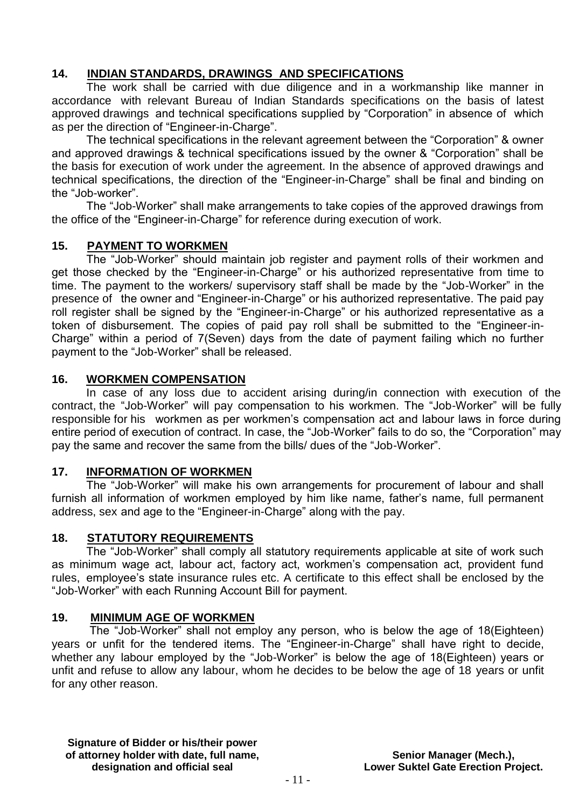# **14. INDIAN STANDARDS, DRAWINGS AND SPECIFICATIONS**

The work shall be carried with due diligence and in a workmanship like manner in accordance with relevant Bureau of Indian Standards specifications on the basis of latest approved drawings and technical specifications supplied by "Corporation" in absence of which as per the direction of "Engineer-in-Charge".

The technical specifications in the relevant agreement between the "Corporation" & owner and approved drawings & technical specifications issued by the owner & "Corporation" shall be the basis for execution of work under the agreement. In the absence of approved drawings and technical specifications, the direction of the "Engineer-in-Charge" shall be final and binding on the "Job-worker".

The "Job-Worker" shall make arrangements to take copies of the approved drawings from the office of the "Engineer-in-Charge" for reference during execution of work.

#### **15. PAYMENT TO WORKMEN**

The "Job-Worker" should maintain job register and payment rolls of their workmen and get those checked by the "Engineer-in-Charge" or his authorized representative from time to time. The payment to the workers/ supervisory staff shall be made by the "Job-Worker" in the presence of the owner and "Engineer-in-Charge" or his authorized representative. The paid pay roll register shall be signed by the "Engineer-in-Charge" or his authorized representative as a token of disbursement. The copies of paid pay roll shall be submitted to the "Engineer-in-Charge" within a period of 7(Seven) days from the date of payment failing which no further payment to the "Job-Worker" shall be released.

#### **16. WORKMEN COMPENSATION**

In case of any loss due to accident arising during/in connection with execution of the contract, the "Job-Worker" will pay compensation to his workmen. The "Job-Worker" will be fully responsible for his workmen as per workmen's compensation act and labour laws in force during entire period of execution of contract. In case, the "Job-Worker" fails to do so, the "Corporation" may pay the same and recover the same from the bills/ dues of the "Job-Worker".

#### **17. INFORMATION OF WORKMEN**

The "Job-Worker" will make his own arrangements for procurement of labour and shall furnish all information of workmen employed by him like name, father's name, full permanent address, sex and age to the "Engineer-in-Charge" along with the pay.

#### **18. STATUTORY REQUIREMENTS**

The "Job-Worker" shall comply all statutory requirements applicable at site of work such as minimum wage act, labour act, factory act, workmen's compensation act, provident fund rules, employee's state insurance rules etc. A certificate to this effect shall be enclosed by the "Job-Worker" with each Running Account Bill for payment.

#### **19. MINIMUM AGE OF WORKMEN**

The "Job-Worker" shall not employ any person, who is below the age of 18(Eighteen) years or unfit for the tendered items. The "Engineer-in-Charge" shall have right to decide, whether any labour employed by the "Job-Worker" is below the age of 18(Eighteen) years or unfit and refuse to allow any labour, whom he decides to be below the age of 18 years or unfit for any other reason.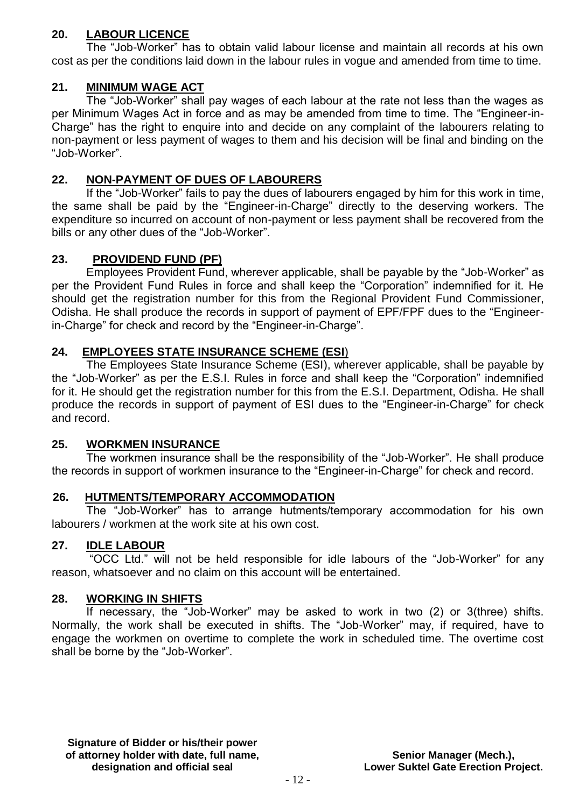### **20. LABOUR LICENCE**

The "Job-Worker" has to obtain valid labour license and maintain all records at his own cost as per the conditions laid down in the labour rules in vogue and amended from time to time.

## **21. MINIMUM WAGE ACT**

The "Job-Worker" shall pay wages of each labour at the rate not less than the wages as per Minimum Wages Act in force and as may be amended from time to time. The "Engineer-in-Charge" has the right to enquire into and decide on any complaint of the labourers relating to non-payment or less payment of wages to them and his decision will be final and binding on the "Job-Worker".

## **22. NON-PAYMENT OF DUES OF LABOURERS**

If the "Job-Worker" fails to pay the dues of labourers engaged by him for this work in time, the same shall be paid by the "Engineer-in-Charge" directly to the deserving workers. The expenditure so incurred on account of non-payment or less payment shall be recovered from the bills or any other dues of the "Job-Worker".

### **23. PROVIDEND FUND (PF)**

Employees Provident Fund, wherever applicable, shall be payable by the "Job-Worker" as per the Provident Fund Rules in force and shall keep the "Corporation" indemnified for it. He should get the registration number for this from the Regional Provident Fund Commissioner, Odisha. He shall produce the records in support of payment of EPF/FPF dues to the "Engineerin-Charge" for check and record by the "Engineer-in-Charge".

### **24. EMPLOYEES STATE INSURANCE SCHEME (ESI**)

The Employees State Insurance Scheme (ESI), wherever applicable, shall be payable by the "Job-Worker" as per the E.S.I. Rules in force and shall keep the "Corporation" indemnified for it. He should get the registration number for this from the E.S.I. Department, Odisha. He shall produce the records in support of payment of ESI dues to the "Engineer-in-Charge" for check and record.

#### **25. WORKMEN INSURANCE**

The workmen insurance shall be the responsibility of the "Job-Worker". He shall produce the records in support of workmen insurance to the "Engineer-in-Charge" for check and record.

#### **26. HUTMENTS/TEMPORARY ACCOMMODATION**

The "Job-Worker" has to arrange hutments/temporary accommodation for his own labourers / workmen at the work site at his own cost.

#### **27. IDLE LABOUR**

"OCC Ltd." will not be held responsible for idle labours of the "Job-Worker" for any reason, whatsoever and no claim on this account will be entertained.

#### **28. WORKING IN SHIFTS**

If necessary, the "Job-Worker" may be asked to work in two (2) or 3(three) shifts. Normally, the work shall be executed in shifts. The "Job-Worker" may, if required, have to engage the workmen on overtime to complete the work in scheduled time. The overtime cost shall be borne by the "Job-Worker".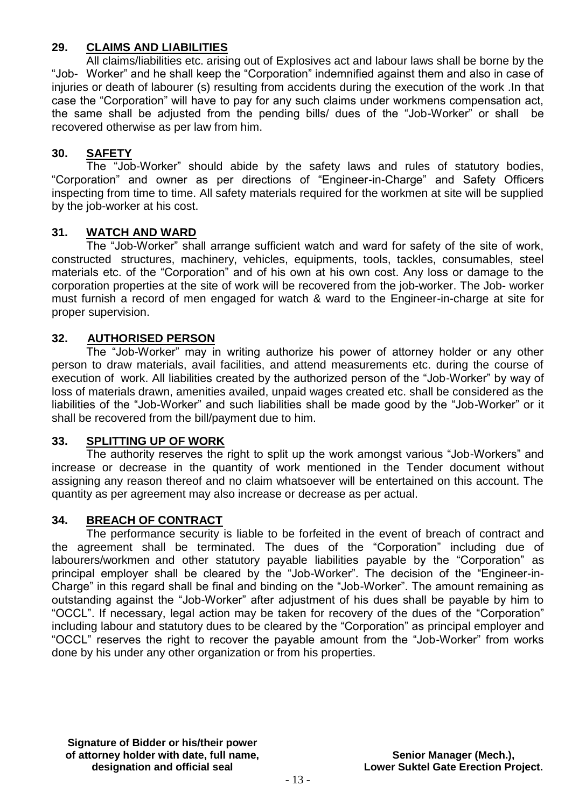#### **29. CLAIMS AND LIABILITIES**

All claims/liabilities etc. arising out of Explosives act and labour laws shall be borne by the "Job- Worker" and he shall keep the "Corporation" indemnified against them and also in case of injuries or death of labourer (s) resulting from accidents during the execution of the work .In that case the "Corporation" will have to pay for any such claims under workmens compensation act, the same shall be adjusted from the pending bills/ dues of the "Job-Worker" or shall be recovered otherwise as per law from him.

### **30. SAFETY**

The "Job-Worker" should abide by the safety laws and rules of statutory bodies, "Corporation" and owner as per directions of "Engineer-in-Charge" and Safety Officers inspecting from time to time. All safety materials required for the workmen at site will be supplied by the job-worker at his cost.

#### **31. WATCH AND WARD**

The "Job-Worker" shall arrange sufficient watch and ward for safety of the site of work, constructed structures, machinery, vehicles, equipments, tools, tackles, consumables, steel materials etc. of the "Corporation" and of his own at his own cost. Any loss or damage to the corporation properties at the site of work will be recovered from the job-worker. The Job- worker must furnish a record of men engaged for watch & ward to the Engineer-in-charge at site for proper supervision.

#### **32. AUTHORISED PERSON**

The "Job-Worker" may in writing authorize his power of attorney holder or any other person to draw materials, avail facilities, and attend measurements etc. during the course of execution of work. All liabilities created by the authorized person of the "Job-Worker" by way of loss of materials drawn, amenities availed, unpaid wages created etc. shall be considered as the liabilities of the "Job-Worker" and such liabilities shall be made good by the "Job-Worker" or it shall be recovered from the bill/payment due to him.

#### **33. SPLITTING UP OF WORK**

The authority reserves the right to split up the work amongst various "Job-Workers" and increase or decrease in the quantity of work mentioned in the Tender document without assigning any reason thereof and no claim whatsoever will be entertained on this account. The quantity as per agreement may also increase or decrease as per actual.

#### **34. BREACH OF CONTRACT**

The performance security is liable to be forfeited in the event of breach of contract and the agreement shall be terminated. The dues of the "Corporation" including due of labourers/workmen and other statutory payable liabilities payable by the "Corporation" as principal employer shall be cleared by the "Job-Worker". The decision of the "Engineer-in-Charge" in this regard shall be final and binding on the "Job-Worker". The amount remaining as outstanding against the "Job-Worker" after adjustment of his dues shall be payable by him to "OCCL". If necessary, legal action may be taken for recovery of the dues of the "Corporation" including labour and statutory dues to be cleared by the "Corporation" as principal employer and "OCCL" reserves the right to recover the payable amount from the "Job-Worker" from works done by his under any other organization or from his properties.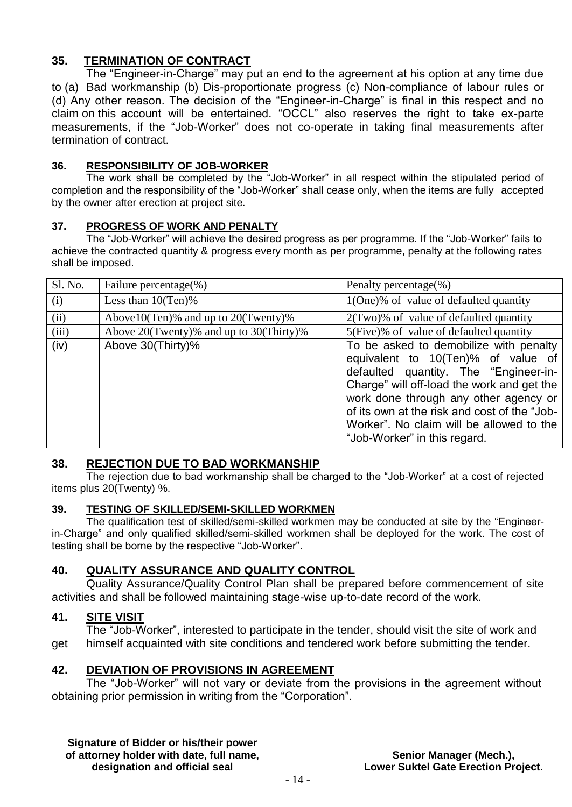### **35. TERMINATION OF CONTRACT**

The "Engineer-in-Charge" may put an end to the agreement at his option at any time due to (a) Bad workmanship (b) Dis-proportionate progress (c) Non-compliance of labour rules or (d) Any other reason. The decision of the "Engineer-in-Charge" is final in this respect and no claim on this account will be entertained. "OCCL" also reserves the right to take ex-parte measurements, if the "Job-Worker" does not co-operate in taking final measurements after termination of contract.

#### **36. RESPONSIBILITY OF JOB-WORKER**

The work shall be completed by the "Job-Worker" in all respect within the stipulated period of completion and the responsibility of the "Job-Worker" shall cease only, when the items are fully accepted by the owner after erection at project site.

#### **37. PROGRESS OF WORK AND PENALTY**

The "Job-Worker" will achieve the desired progress as per programme. If the "Job-Worker" fails to achieve the contracted quantity & progress every month as per programme, penalty at the following rates shall be imposed.

| Sl. No. | Failure percentage $(\%)$                     | Penalty percentage(%)                                                                                                                                                                                                                                                                                                                    |  |  |  |  |
|---------|-----------------------------------------------|------------------------------------------------------------------------------------------------------------------------------------------------------------------------------------------------------------------------------------------------------------------------------------------------------------------------------------------|--|--|--|--|
| (i)     | Less than $10(Ten)\%$                         | 1(One)% of value of defaulted quantity                                                                                                                                                                                                                                                                                                   |  |  |  |  |
| (ii)    | Above $10$ (Ten)% and up to $20$ (Twenty)%    | $2$ (Two)% of value of defaulted quantity                                                                                                                                                                                                                                                                                                |  |  |  |  |
| (iii)   | Above $20$ (Twenty)% and up to $30$ (Thirty)% | 5(Five)% of value of defaulted quantity                                                                                                                                                                                                                                                                                                  |  |  |  |  |
| (iv)    | Above 30(Thirty)%                             | To be asked to demobilize with penalty<br>equivalent to 10(Ten)% of value of<br>defaulted quantity. The "Engineer-in-<br>Charge" will off-load the work and get the<br>work done through any other agency or<br>of its own at the risk and cost of the "Job-<br>Worker". No claim will be allowed to the<br>"Job-Worker" in this regard. |  |  |  |  |

#### **38. REJECTION DUE TO BAD WORKMANSHIP**

The rejection due to bad workmanship shall be charged to the "Job-Worker" at a cost of rejected items plus 20(Twenty) %.

#### **39. TESTING OF SKILLED/SEMI-SKILLED WORKMEN**

The qualification test of skilled/semi-skilled workmen may be conducted at site by the "Engineerin-Charge" and only qualified skilled/semi-skilled workmen shall be deployed for the work. The cost of testing shall be borne by the respective "Job-Worker".

#### **40. QUALITY ASSURANCE AND QUALITY CONTROL**

Quality Assurance/Quality Control Plan shall be prepared before commencement of site activities and shall be followed maintaining stage-wise up-to-date record of the work. Ĭ

#### **41. SITE VISIT**

The "Job-Worker", interested to participate in the tender, should visit the site of work and get himself acquainted with site conditions and tendered work before submitting the tender.

#### **42. DEVIATION OF PROVISIONS IN AGREEMENT**

The "Job-Worker" will not vary or deviate from the provisions in the agreement without obtaining prior permission in writing from the "Corporation".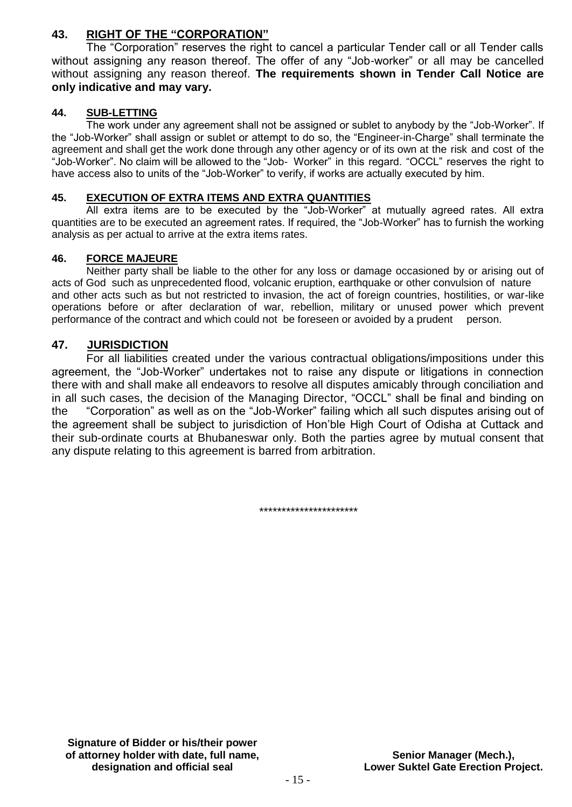#### **43. RIGHT OF THE "CORPORATION"**

The "Corporation" reserves the right to cancel a particular Tender call or all Tender calls without assigning any reason thereof. The offer of any "Job-worker" or all may be cancelled without assigning any reason thereof. **The requirements shown in Tender Call Notice are only indicative and may vary.** 

#### **44. SUB-LETTING**

The work under any agreement shall not be assigned or sublet to anybody by the "Job-Worker". If the "Job-Worker" shall assign or sublet or attempt to do so, the "Engineer-in-Charge" shall terminate the agreement and shall get the work done through any other agency or of its own at the risk and cost of the "Job-Worker". No claim will be allowed to the "Job- Worker" in this regard. "OCCL" reserves the right to have access also to units of the "Job-Worker" to verify, if works are actually executed by him.

#### **45. EXECUTION OF EXTRA ITEMS AND EXTRA QUANTITIES**

All extra items are to be executed by the "Job-Worker" at mutually agreed rates. All extra quantities are to be executed an agreement rates. If required, the "Job-Worker" has to furnish the working analysis as per actual to arrive at the extra items rates.

#### **46. FORCE MAJEURE**

Neither party shall be liable to the other for any loss or damage occasioned by or arising out of acts of God such as unprecedented flood, volcanic eruption, earthquake or other convulsion of nature and other acts such as but not restricted to invasion, the act of foreign countries, hostilities, or war-like operations before or after declaration of war, rebellion, military or unused power which prevent performance of the contract and which could not be foreseen or avoided by a prudent person.

#### **47. JURISDICTION**

For all liabilities created under the various contractual obligations/impositions under this agreement, the "Job-Worker" undertakes not to raise any dispute or litigations in connection there with and shall make all endeavors to resolve all disputes amicably through conciliation and in all such cases, the decision of the Managing Director, "OCCL" shall be final and binding on the "Corporation" as well as on the "Job-Worker" failing which all such disputes arising out of the agreement shall be subject to jurisdiction of Hon'ble High Court of Odisha at Cuttack and their sub-ordinate courts at Bhubaneswar only. Both the parties agree by mutual consent that any dispute relating to this agreement is barred from arbitration.

\*\*\*\*\*\*\*\*\*\*\*\*\*\*\*\*\*\*\*\*\*\*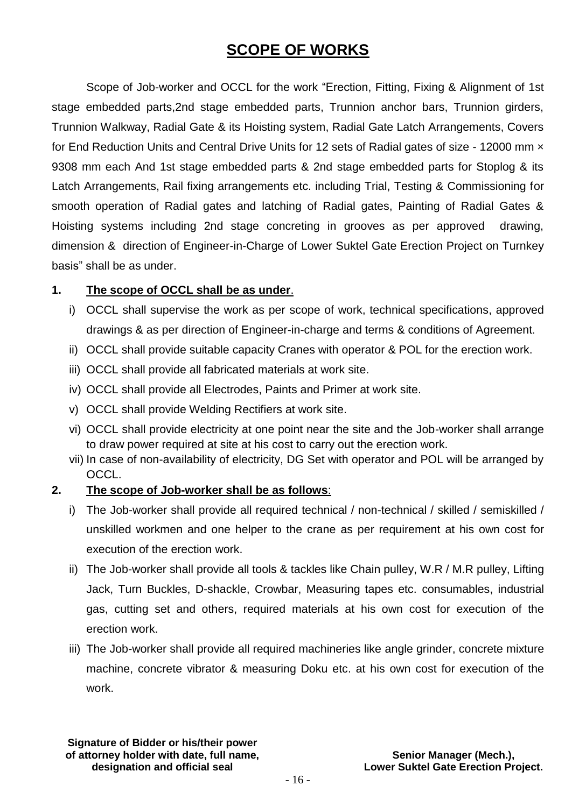# **SCOPE OF WORKS**

Scope of Job-worker and OCCL for the work "Erection, Fitting, Fixing & Alignment of 1st stage embedded parts,2nd stage embedded parts, Trunnion anchor bars, Trunnion girders, Trunnion Walkway, Radial Gate & its Hoisting system, Radial Gate Latch Arrangements, Covers for End Reduction Units and Central Drive Units for 12 sets of Radial gates of size - 12000 mm x 9308 mm each And 1st stage embedded parts & 2nd stage embedded parts for Stoplog & its Latch Arrangements, Rail fixing arrangements etc. including Trial, Testing & Commissioning for smooth operation of Radial gates and latching of Radial gates, Painting of Radial Gates & Hoisting systems including 2nd stage concreting in grooves as per approved drawing, dimension & direction of Engineer-in-Charge of Lower Suktel Gate Erection Project on Turnkey basis" shall be as under.

### **1. The scope of OCCL shall be as under**.

- i) OCCL shall supervise the work as per scope of work, technical specifications, approved drawings & as per direction of Engineer-in-charge and terms & conditions of Agreement.
- ii) OCCL shall provide suitable capacity Cranes with operator & POL for the erection work.
- iii) OCCL shall provide all fabricated materials at work site.
- iv) OCCL shall provide all Electrodes, Paints and Primer at work site.
- v) OCCL shall provide Welding Rectifiers at work site.
- vi) OCCL shall provide electricity at one point near the site and the Job-worker shall arrange to draw power required at site at his cost to carry out the erection work.
- vii) In case of non-availability of electricity, DG Set with operator and POL will be arranged by OCCL.

#### **2. The scope of Job-worker shall be as follows**:

- i) The Job-worker shall provide all required technical / non-technical / skilled / semiskilled / unskilled workmen and one helper to the crane as per requirement at his own cost for execution of the erection work.
- ii) The Job-worker shall provide all tools & tackles like Chain pulley, W.R / M.R pulley, Lifting Jack, Turn Buckles, D-shackle, Crowbar, Measuring tapes etc. consumables, industrial gas, cutting set and others, required materials at his own cost for execution of the erection work.
- iii) The Job-worker shall provide all required machineries like angle grinder, concrete mixture machine, concrete vibrator & measuring Doku etc. at his own cost for execution of the work.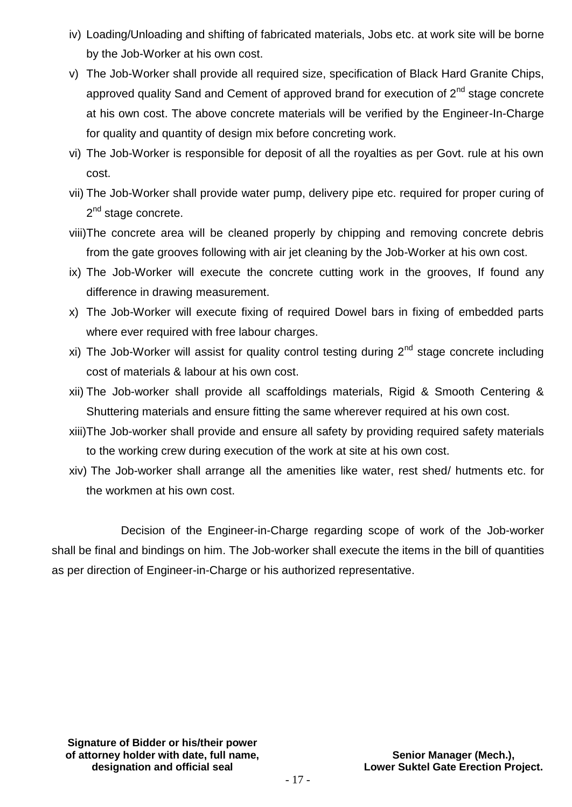- iv) Loading/Unloading and shifting of fabricated materials, Jobs etc. at work site will be borne by the Job-Worker at his own cost.
- v) The Job-Worker shall provide all required size, specification of Black Hard Granite Chips, approved quality Sand and Cement of approved brand for execution of  $2<sup>nd</sup>$  stage concrete at his own cost. The above concrete materials will be verified by the Engineer-In-Charge for quality and quantity of design mix before concreting work.
- vi) The Job-Worker is responsible for deposit of all the royalties as per Govt. rule at his own cost.
- vii) The Job-Worker shall provide water pump, delivery pipe etc. required for proper curing of 2<sup>nd</sup> stage concrete.
- viii)The concrete area will be cleaned properly by chipping and removing concrete debris from the gate grooves following with air jet cleaning by the Job-Worker at his own cost.
- ix) The Job-Worker will execute the concrete cutting work in the grooves, If found any difference in drawing measurement.
- x) The Job-Worker will execute fixing of required Dowel bars in fixing of embedded parts where ever required with free labour charges.
- xi) The Job-Worker will assist for quality control testing during  $2<sup>nd</sup>$  stage concrete including cost of materials & labour at his own cost.
- xii) The Job-worker shall provide all scaffoldings materials, Rigid & Smooth Centering & Shuttering materials and ensure fitting the same wherever required at his own cost.
- xiii)The Job-worker shall provide and ensure all safety by providing required safety materials to the working crew during execution of the work at site at his own cost.
- xiv) The Job-worker shall arrange all the amenities like water, rest shed/ hutments etc. for the workmen at his own cost.

Decision of the Engineer-in-Charge regarding scope of work of the Job-worker shall be final and bindings on him. The Job-worker shall execute the items in the bill of quantities as per direction of Engineer-in-Charge or his authorized representative.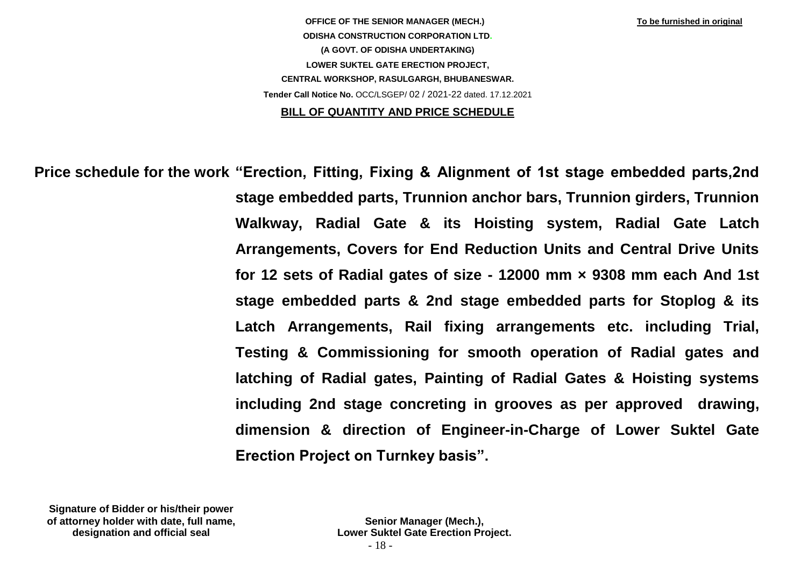**OFFICE OF THE SENIOR MANAGER (MECH.) To be furnished in original ODISHA CONSTRUCTION CORPORATION LTD. (A GOVT. OF ODISHA UNDERTAKING) LOWER SUKTEL GATE ERECTION PROJECT, CENTRAL WORKSHOP, RASULGARGH, BHUBANESWAR. Tender Call Notice No.** OCC/LSGEP/ 02 / 2021-22 dated. 17.12.2021

#### **BILL OF QUANTITY AND PRICE SCHEDULE**

**Price schedule for the work:"Erection, Fitting, Fixing & Alignment of 1st stage embedded parts,2nd stage embedded parts, Trunnion anchor bars, Trunnion girders, Trunnion Walkway, Radial Gate & its Hoisting system, Radial Gate Latch Arrangements, Covers for End Reduction Units and Central Drive Units for 12 sets of Radial gates of size - 12000 mm × 9308 mm each And 1st stage embedded parts & 2nd stage embedded parts for Stoplog & its Latch Arrangements, Rail fixing arrangements etc. including Trial, Testing & Commissioning for smooth operation of Radial gates and latching of Radial gates, Painting of Radial Gates & Hoisting systems including 2nd stage concreting in grooves as per approved drawing, dimension & direction of Engineer-in-Charge of Lower Suktel Gate Erection Project on Turnkey basis".**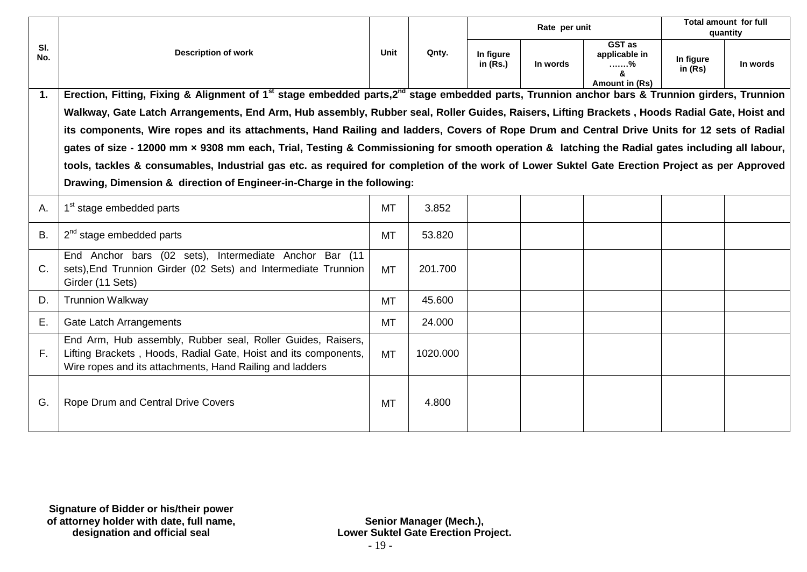|            |                                                                                                                                                                                            |             |          |                         |          | Rate per unit                                  |                        |          | <b>Total amount for full</b><br>quantity |
|------------|--------------------------------------------------------------------------------------------------------------------------------------------------------------------------------------------|-------------|----------|-------------------------|----------|------------------------------------------------|------------------------|----------|------------------------------------------|
| SI.<br>No. | <b>Description of work</b>                                                                                                                                                                 | <b>Unit</b> | Qnty.    | In figure<br>in $(Rs.)$ | In words | GST as<br>applicable in<br>%<br>Amount in (Rs) | In figure<br>in $(Rs)$ | In words |                                          |
| 1.         | Erection, Fitting, Fixing & Alignment of 1 <sup>st</sup> stage embedded parts,2 <sup>nd</sup> stage embedded parts, Trunnion anchor bars & Trunnion girders, Trunnion                      |             |          |                         |          |                                                |                        |          |                                          |
|            | Walkway, Gate Latch Arrangements, End Arm, Hub assembly, Rubber seal, Roller Guides, Raisers, Lifting Brackets, Hoods Radial Gate, Hoist and                                               |             |          |                         |          |                                                |                        |          |                                          |
|            | its components, Wire ropes and its attachments, Hand Railing and ladders, Covers of Rope Drum and Central Drive Units for 12 sets of Radial                                                |             |          |                         |          |                                                |                        |          |                                          |
|            | gates of size - 12000 mm x 9308 mm each, Trial, Testing & Commissioning for smooth operation & latching the Radial gates including all labour,                                             |             |          |                         |          |                                                |                        |          |                                          |
|            | tools, tackles & consumables, Industrial gas etc. as required for completion of the work of Lower Suktel Gate Erection Project as per Approved                                             |             |          |                         |          |                                                |                        |          |                                          |
|            | Drawing, Dimension & direction of Engineer-in-Charge in the following:                                                                                                                     |             |          |                         |          |                                                |                        |          |                                          |
| Α.         | 1 <sup>st</sup> stage embedded parts                                                                                                                                                       | <b>MT</b>   | 3.852    |                         |          |                                                |                        |          |                                          |
| <b>B.</b>  | $2nd$ stage embedded parts                                                                                                                                                                 | <b>MT</b>   | 53.820   |                         |          |                                                |                        |          |                                          |
| C.         | End Anchor bars (02 sets), Intermediate Anchor Bar (11<br>sets), End Trunnion Girder (02 Sets) and Intermediate Trunnion<br>Girder (11 Sets)                                               | <b>MT</b>   | 201.700  |                         |          |                                                |                        |          |                                          |
| D.         | <b>Trunnion Walkway</b>                                                                                                                                                                    | <b>MT</b>   | 45.600   |                         |          |                                                |                        |          |                                          |
| Ε.         | <b>Gate Latch Arrangements</b>                                                                                                                                                             | <b>MT</b>   | 24.000   |                         |          |                                                |                        |          |                                          |
| F.         | End Arm, Hub assembly, Rubber seal, Roller Guides, Raisers,<br>Lifting Brackets, Hoods, Radial Gate, Hoist and its components,<br>Wire ropes and its attachments, Hand Railing and ladders | <b>MT</b>   | 1020.000 |                         |          |                                                |                        |          |                                          |
| G.         | Rope Drum and Central Drive Covers                                                                                                                                                         | <b>MT</b>   | 4.800    |                         |          |                                                |                        |          |                                          |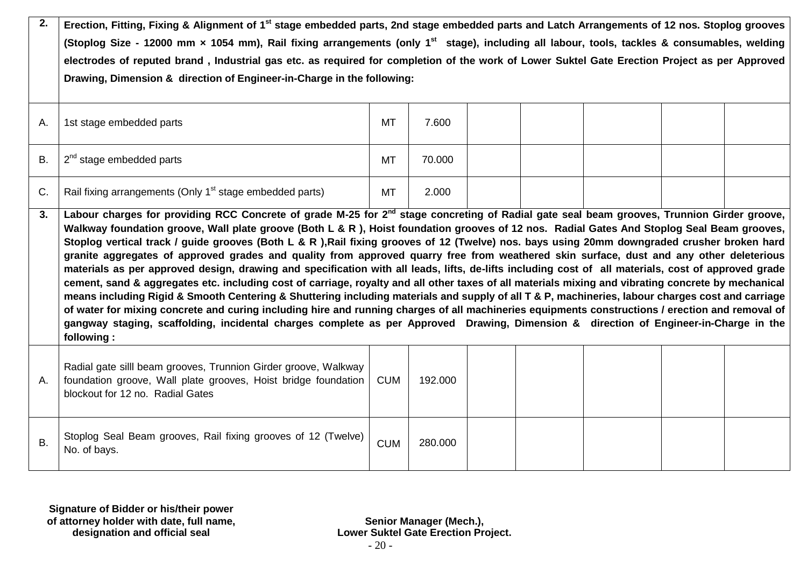| 2.          | Erection, Fitting, Fixing & Alignment of 1 <sup>st</sup> stage embedded parts, 2nd stage embedded parts and Latch Arrangements of 12 nos. Stoplog grooves<br>(Stoplog Size - 12000 mm x 1054 mm), Rail fixing arrangements (only 1 <sup>st</sup> stage), including all labour, tools, tackles & consumables, welding<br>electrodes of reputed brand, Industrial gas etc. as required for completion of the work of Lower Suktel Gate Erection Project as per Approved<br>Drawing, Dimension & direction of Engineer-in-Charge in the following:                                                                                                                                                                                                                                                                                                                                                                                                                                                                                                                                                                                                                                                                                                                                                                                                                            |            |         |  |  |  |  |  |
|-------------|----------------------------------------------------------------------------------------------------------------------------------------------------------------------------------------------------------------------------------------------------------------------------------------------------------------------------------------------------------------------------------------------------------------------------------------------------------------------------------------------------------------------------------------------------------------------------------------------------------------------------------------------------------------------------------------------------------------------------------------------------------------------------------------------------------------------------------------------------------------------------------------------------------------------------------------------------------------------------------------------------------------------------------------------------------------------------------------------------------------------------------------------------------------------------------------------------------------------------------------------------------------------------------------------------------------------------------------------------------------------------|------------|---------|--|--|--|--|--|
| А.          | 1st stage embedded parts                                                                                                                                                                                                                                                                                                                                                                                                                                                                                                                                                                                                                                                                                                                                                                                                                                                                                                                                                                                                                                                                                                                                                                                                                                                                                                                                                   | <b>MT</b>  | 7.600   |  |  |  |  |  |
| <b>B.</b>   | $2nd$ stage embedded parts                                                                                                                                                                                                                                                                                                                                                                                                                                                                                                                                                                                                                                                                                                                                                                                                                                                                                                                                                                                                                                                                                                                                                                                                                                                                                                                                                 | <b>MT</b>  | 70.000  |  |  |  |  |  |
| $C_{\cdot}$ | Rail fixing arrangements (Only 1 <sup>st</sup> stage embedded parts)                                                                                                                                                                                                                                                                                                                                                                                                                                                                                                                                                                                                                                                                                                                                                                                                                                                                                                                                                                                                                                                                                                                                                                                                                                                                                                       | MT         | 2.000   |  |  |  |  |  |
| 3.          | Labour charges for providing RCC Concrete of grade M-25 for 2 <sup>nd</sup> stage concreting of Radial gate seal beam grooves, Trunnion Girder groove,<br>Walkway foundation groove, Wall plate groove (Both L & R), Hoist foundation grooves of 12 nos. Radial Gates And Stoplog Seal Beam grooves,<br>Stoplog vertical track / guide grooves (Both L & R),Rail fixing grooves of 12 (Twelve) nos. bays using 20mm downgraded crusher broken hard<br>granite aggregates of approved grades and quality from approved quarry free from weathered skin surface, dust and any other deleterious<br>materials as per approved design, drawing and specification with all leads, lifts, de-lifts including cost of all materials, cost of approved grade<br>cement, sand & aggregates etc. including cost of carriage, royalty and all other taxes of all materials mixing and vibrating concrete by mechanical<br>means including Rigid & Smooth Centering & Shuttering including materials and supply of all T & P, machineries, labour charges cost and carriage<br>of water for mixing concrete and curing including hire and running charges of all machineries equipments constructions / erection and removal of<br>gangway staging, scaffolding, incidental charges complete as per Approved Drawing, Dimension & direction of Engineer-in-Charge in the<br>following: |            |         |  |  |  |  |  |
| Α.          | Radial gate silll beam grooves, Trunnion Girder groove, Walkway<br>foundation groove, Wall plate grooves, Hoist bridge foundation<br>blockout for 12 no. Radial Gates                                                                                                                                                                                                                                                                                                                                                                                                                                                                                                                                                                                                                                                                                                                                                                                                                                                                                                                                                                                                                                                                                                                                                                                                      | <b>CUM</b> | 192.000 |  |  |  |  |  |
| <b>B.</b>   | Stoplog Seal Beam grooves, Rail fixing grooves of 12 (Twelve)<br>No. of bays.                                                                                                                                                                                                                                                                                                                                                                                                                                                                                                                                                                                                                                                                                                                                                                                                                                                                                                                                                                                                                                                                                                                                                                                                                                                                                              | <b>CUM</b> | 280.000 |  |  |  |  |  |